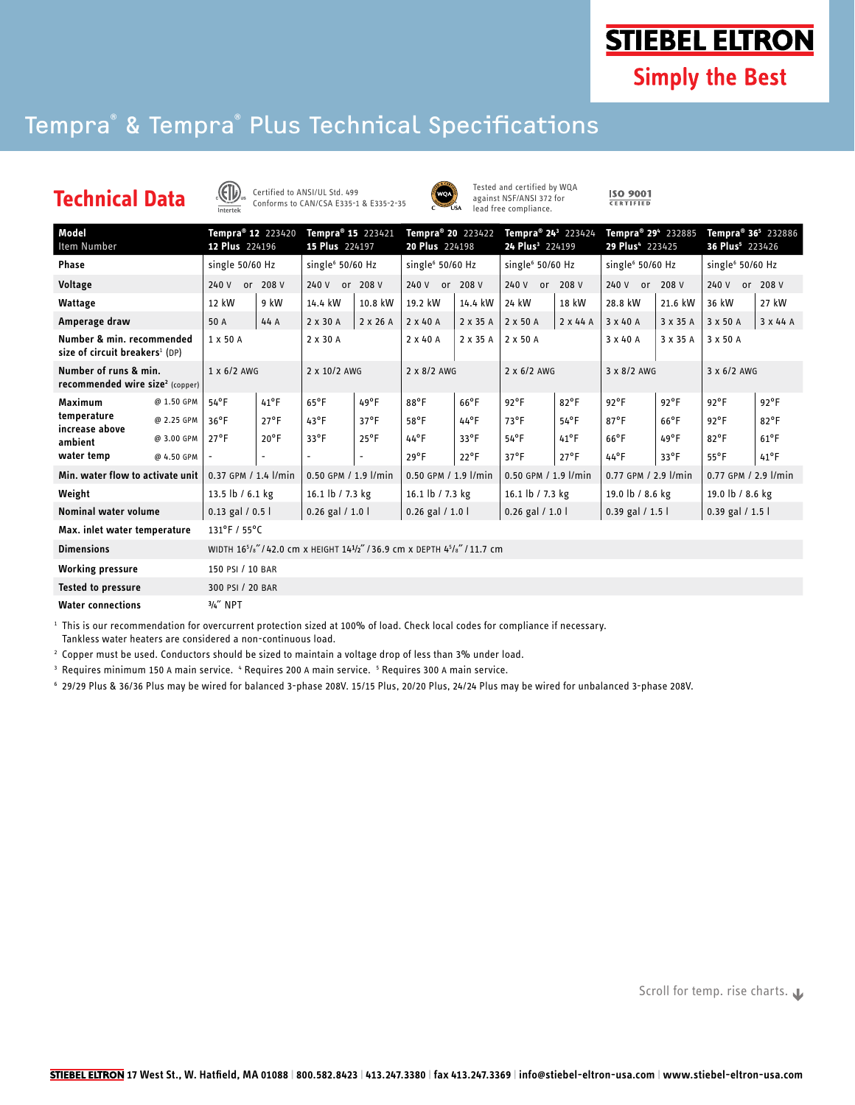**STIEBEL ELTRON** 

**Simply the Best** 

## Tempra® & Tempra® Plus Technical Specifications





Tested and certified by WQA against NSF/ANSI 372 for lead free compliance.

 $\frac{\text{ISO }9001}{\text{CERTIFIED}}$ 

| Model<br>Item Number                                                    |            | Tempra <sup>®</sup> 12 223420<br>12 Plus 224196                                                           |                | Tempra <sup>®</sup> 15 223421<br>15 Plus 224197 |                | Tempra <sup>®</sup> 20 223422<br>20 Plus 224198 |               | Tempra <sup>®</sup> 24 <sup>3</sup> 223424<br>24 Plus <sup>3</sup> 224199 |                 | Tempra® 29 <sup>4</sup> 232885<br>29 Plus <sup>4</sup> 223425 |               | Tempra <sup>®</sup> 36 <sup>5</sup> 232886<br>36 Plus <sup>5</sup> 223426 |                 |
|-------------------------------------------------------------------------|------------|-----------------------------------------------------------------------------------------------------------|----------------|-------------------------------------------------|----------------|-------------------------------------------------|---------------|---------------------------------------------------------------------------|-----------------|---------------------------------------------------------------|---------------|---------------------------------------------------------------------------|-----------------|
| <b>Phase</b>                                                            |            | single 50/60 Hz                                                                                           |                | single <sup>6</sup> 50/60 Hz                    |                | single <sup>6</sup> 50/60 Hz                    |               | single <sup>6</sup> 50/60 Hz                                              |                 | single <sup>6</sup> 50/60 Hz                                  |               | single <sup>6</sup> 50/60 Hz                                              |                 |
| Voltage                                                                 |            | 240 V or 208 V                                                                                            |                | 240 V or<br>208 V                               |                | 240 V or<br>208 V                               |               | 240 V or 208 V                                                            |                 | 208 V<br>240 V or                                             |               | or 208 V<br>240 V                                                         |                 |
| Wattage                                                                 |            | 12 kW                                                                                                     | 9 kW           | 14.4 kW                                         | 10.8 kW        | 19.2 kW                                         | 14.4 kW       | 24 kW                                                                     | 18 kW           | 28.8 kW                                                       | 21.6 kW       | 36 kW                                                                     | 27 kW           |
| Amperage draw                                                           |            | 50 A                                                                                                      | 44 A           | 2 x 30 A                                        | 2 x 26 A       | $2 \times 40$ A                                 | 2 x 35 A      | 2 x 50 A                                                                  | $2 \times 44$ A | 3 x 40 A                                                      | 3 x 35 A      | 3 x 50 A                                                                  | $3 \times 44$ A |
| Number & min. recommended<br>size of circuit breakers <sup>1</sup> (DP) |            | 1 x 50 A                                                                                                  |                | 2 x 30 A                                        |                | $2 \times 40$ A                                 | 2 x 35 A      | 2 x 50 A                                                                  |                 | 3 x 40 A                                                      | 3 x 35 A      | 3 x 50 A                                                                  |                 |
| Number of runs & min.<br>recommended wire size <sup>2</sup> (copper)    |            | 1 x 6/2 AWG                                                                                               |                | 2 x 10/2 AWG                                    |                | 2 x 8/2 AWG                                     |               | $2 \times 6/2$ AWG                                                        |                 | 3 x 8/2 AWG                                                   |               | 3 x 6/2 AWG                                                               |                 |
| Maximum<br>temperature<br>increase above<br>ambient                     | @ 1.50 GPM | $54^{\circ}F$                                                                                             | $41^{\circ}$ F | $65^{\circ}$ F                                  | $49^{\circ}F$  | $88^{\circ}$ F                                  | $66^{\circ}F$ | $92^{\circ}F$                                                             | $82^{\circ}$ F  | $92^{\circ}F$                                                 | $92^{\circ}F$ | $92^{\circ}F$                                                             | $92^{\circ}$ F  |
|                                                                         | @ 2.25 GPM | $36^{\circ}F$                                                                                             | $27^{\circ}$ F | $43^{\circ}F$                                   | $37^{\circ}$ F | $58^{\circ}$ F                                  | $44^{\circ}F$ | $73^{\circ}F$                                                             | $54^{\circ}$ F  | $87^{\circ}$ F                                                | $66^{\circ}F$ | $92^{\circ}F$                                                             | $82^{\circ}$ F  |
|                                                                         | @ 3.00 GPM | $27^{\circ}$ F                                                                                            | $20^{\circ}$ F | $33^{\circ}F$                                   | $25^{\circ}$ F | $44^{\circ}F$                                   | $33^{\circ}F$ | $54^{\circ}$ F                                                            | $41^{\circ}$ F  | $66^{\circ}$ F                                                | 49°F          | $82^{\circ}$ F                                                            | $61^{\circ}$ F  |
| water temp                                                              | @ 4.50 GPM |                                                                                                           |                |                                                 |                | $29^{\circ}F$                                   | $22^{\circ}F$ | $37^{\circ}$ F                                                            | $27^{\circ}$ F  | $44^{\circ}$ F                                                | $33^{\circ}F$ | $55^{\circ}$ F                                                            | $41^{\circ}$ F  |
| Min. water flow to activate unit                                        |            | 0.37 GPM / 1.4 l/min                                                                                      |                | 0.50 GPM / 1.9 l/min                            |                | 0.50 GPM / 1.9 l/min                            |               | 0.50 GPM / 1.9 l/min                                                      |                 | 0.77 GPM / 2.9 l/min                                          |               | 0.77 GPM / 2.9 l/min                                                      |                 |
| Weight                                                                  |            | 13.5 lb / 6.1 kg                                                                                          |                | 16.1 lb / 7.3 kg                                |                | 16.1 lb / 7.3 kg                                |               | 16.1 lb / 7.3 kg                                                          |                 | 19.0 lb / 8.6 kg                                              |               | 19.0 lb / 8.6 kg                                                          |                 |
| <b>Nominal water volume</b>                                             |            | $0.13$ gal $/ 0.5$                                                                                        |                | $0.26$ gal $/ 1.0$ l                            |                | $0.26$ gal $/ 1.0$ l                            |               | $0.26$ gal $/ 1.0$ l                                                      |                 | $0.39$ gal $/ 1.5$                                            |               | $0.39$ gal $/ 1.5$ l                                                      |                 |
| Max. inlet water temperature                                            |            | $131^{\circ}$ F / 55°C                                                                                    |                |                                                 |                |                                                 |               |                                                                           |                 |                                                               |               |                                                                           |                 |
| <b>Dimensions</b>                                                       |            | WIDTH 16 <sup>5</sup> /s"/42.0 cm x HEIGHT 14 <sup>1</sup> /2"/36.9 cm x DEPTH 4 <sup>5</sup> /s"/11.7 cm |                |                                                 |                |                                                 |               |                                                                           |                 |                                                               |               |                                                                           |                 |
| <b>Working pressure</b>                                                 |            | 150 PSI / 10 BAR                                                                                          |                |                                                 |                |                                                 |               |                                                                           |                 |                                                               |               |                                                                           |                 |
| <b>Tested to pressure</b>                                               |            | 300 PSI / 20 BAR                                                                                          |                |                                                 |                |                                                 |               |                                                                           |                 |                                                               |               |                                                                           |                 |
| <b>Water connections</b>                                                |            | $3/4''$ NPT                                                                                               |                |                                                 |                |                                                 |               |                                                                           |                 |                                                               |               |                                                                           |                 |

 $1$  This is our recommendation for overcurrent protection sized at 100% of load. Check local codes for compliance if necessary.

Tankless water heaters are considered a non-continuous load.

2 Copper must be used. Conductors should be sized to maintain a voltage drop of less than 3% under load.

<sup>3</sup> Requires minimum 150 A main service. " Requires 200 A main service. <sup>5</sup> Requires 300 A main service.

6 29/29 Plus & 36/36 Plus may be wired for balanced 3-phase 208V. 15/15 Plus, 20/20 Plus, 24/24 Plus may be wired for unbalanced 3-phase 208V.

Scroll for temp. rise charts.